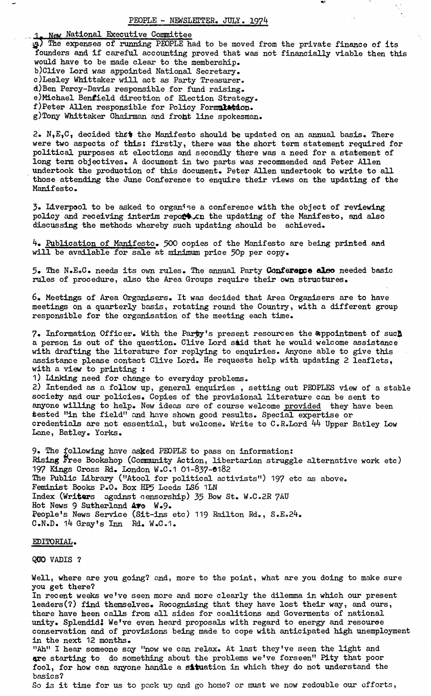1. **Neu** National Executive Committee

3§l) The expenses of running PEOPLE had to be moved from the private finance of its founders and if careful accounting proved that was not financially viable then this would have to be made clear to the membership. b)Clive Lord was appointed National Secretary. c)Lesley Whittaker will act as Party Treasurer. d)Ben Percy-Davis responsible for fund raising. e)Michael Benfield direction of Election Strategy, f)Peter Allen responsible for Policy Formulation. g)Tony Whittaker Chairman and front line spokesman.

2. N,E,C, decided **thcii** the Manifesto should be updated on an annual basis. There were two aspects of this: firstly, there was the short term statement required for political purposes at elections and secondly there was a need for a statement of long term objectives. A document in two parts was recommended and Peter Allen undertook the production of this document. Peter Allen undertook to write to all those attending the June Conference to enquire their views on the updating of the Manifesto.

3. Liverpool to be asked to organise a conference with the object of reviewing policy and receiving interim repo $\mathcal{L}$ .cn the updating of the Manifesto, and also discussing the methods whereby such updating should be achieved.

^f. Publication of Manifesto. ^00 copies of the Manifesto are being printed and will be available for sale at minimum price 50p per copy.

5» The N.EoC. needs its own rules. The annual Party Conference also needed basic rules of procedure, also the Area Groups require their own structures.

6. Meetings of Area Organisers. It was decided that Area Organisers are to have meetings on a quarterly basis, rotating round the Country, with a different group responsible for the organisation of the meeting each time.

7. Information Officer. With the Party's present resources the &ppointment of such a person is out of the question. Clive Lord said that he would welcome assistance with drafting the literature for replying to enquiries. Anyone able to give this assistance please contact Clive Lord. He requests help with updating 2 leaflets, with a view to printing :

1) Linking need for change to everyday problems.

2) Intended as a follow up, general enquiries , setting out PEOPLES view of a stable society and our policies. Copies of the provisional literature can be sent to anyone willing to help. New ideas are of course welcome provided they have been tested "in the field" and have shown good results. Special expertise or credentials are not essential, but welcome. Write to C.R.Lord **hk** Upper Batley Low Lane, Batley. Yorks.

9. The following have asked PEOPLE to pass on information: Rising Free Bookshop (Community Action, libertarian struggle alternative work etc) 197 Kings Cross Rd. London W.C.1 01-837-0182 The Public Library ("Atool for political activists") 197 etc as above. Feminist Books P.O. Box HP5 Leeds LS6 1LN Index (Writers against censorship) **33** Bow St. W.C«2R 7AU Hot News 9 Sutherland Ave W.9. People's News Service (Sit-ins etc) 119 Railton Rd., S.E.24.  $C-N.D.$  14 Gray's Inn Rd. W.C.1.

## EDITORIAL.

QUO VADIS ?

Well, where are you going? and, more to the point, what are you doing to make sure you get there? In recent weeks we've seen more and more clearly the dilemma in which our present leaders(?) find themselves. Recognising that they have lost their way, and ours, there have heen calls from all sides for coalitions and Goverments of national unity. Splendid! We've even heard proposals with regard to energy and resource conservation and of provisions being made to cope with anticipated high unemployment in the next 12 months. "Ah" I hear someone say "now we can relax. At last they've seen the light and are starting to do something about the problems we've forseen" Pity that poor fool, for how can anyone handle a situation in which they do not understand the basics? So is it time for us to pack up and go home? or must we now redouble our efforts,